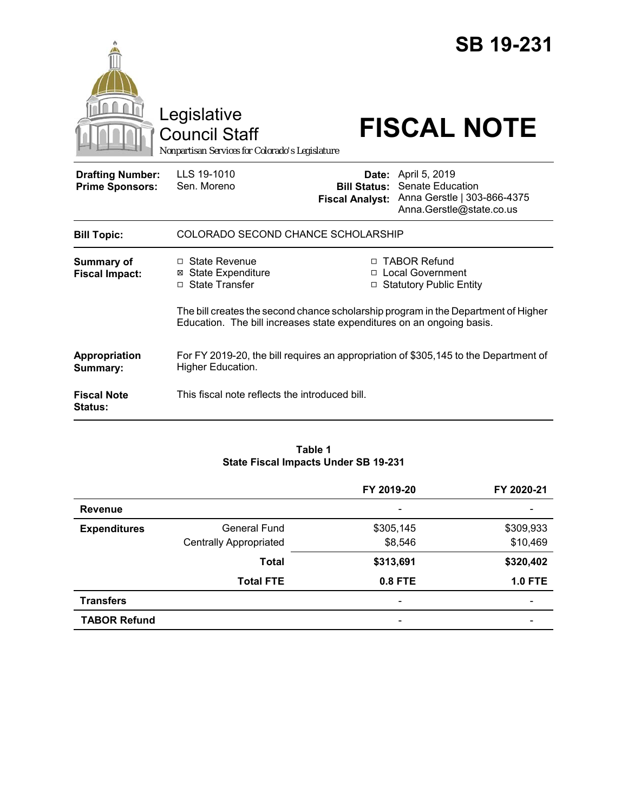|                                                   | Legislative<br><b>Council Staff</b><br>Nonpartisan Services for Colorado's Legislature                                                                      |                                                                                   | <b>SB 19-231</b><br><b>FISCAL NOTE</b>                                                                    |  |
|---------------------------------------------------|-------------------------------------------------------------------------------------------------------------------------------------------------------------|-----------------------------------------------------------------------------------|-----------------------------------------------------------------------------------------------------------|--|
| <b>Drafting Number:</b><br><b>Prime Sponsors:</b> | LLS 19-1010<br>Sen. Moreno                                                                                                                                  | <b>Bill Status:</b><br><b>Fiscal Analyst:</b>                                     | <b>Date:</b> April 5, 2019<br>Senate Education<br>Anna Gerstle   303-866-4375<br>Anna.Gerstle@state.co.us |  |
| <b>Bill Topic:</b>                                | COLORADO SECOND CHANCE SCHOLARSHIP                                                                                                                          |                                                                                   |                                                                                                           |  |
| <b>Summary of</b><br><b>Fiscal Impact:</b>        | $\Box$ State Revenue<br><b>⊠</b> State Expenditure<br>□ State Transfer                                                                                      | □ TABOR Refund<br><b>Local Government</b><br>П.<br><b>Statutory Public Entity</b> |                                                                                                           |  |
|                                                   | The bill creates the second chance scholarship program in the Department of Higher<br>Education. The bill increases state expenditures on an ongoing basis. |                                                                                   |                                                                                                           |  |
| Appropriation<br>Summary:                         | For FY 2019-20, the bill requires an appropriation of \$305,145 to the Department of<br>Higher Education.                                                   |                                                                                   |                                                                                                           |  |
| <b>Fiscal Note</b><br><b>Status:</b>              | This fiscal note reflects the introduced bill.                                                                                                              |                                                                                   |                                                                                                           |  |

#### **Table 1 State Fiscal Impacts Under SB 19-231**

|                     |                               | FY 2019-20                   | FY 2020-21                   |
|---------------------|-------------------------------|------------------------------|------------------------------|
| <b>Revenue</b>      |                               |                              |                              |
| <b>Expenditures</b> | General Fund                  | \$305,145                    | \$309,933                    |
|                     | <b>Centrally Appropriated</b> | \$8,546                      | \$10,469                     |
|                     | <b>Total</b>                  | \$313,691                    | \$320,402                    |
|                     | <b>Total FTE</b>              | 0.8 FTE                      | <b>1.0 FTE</b>               |
| <b>Transfers</b>    |                               | $\qquad \qquad \blacksquare$ | $\qquad \qquad \blacksquare$ |
| <b>TABOR Refund</b> |                               | ٠                            |                              |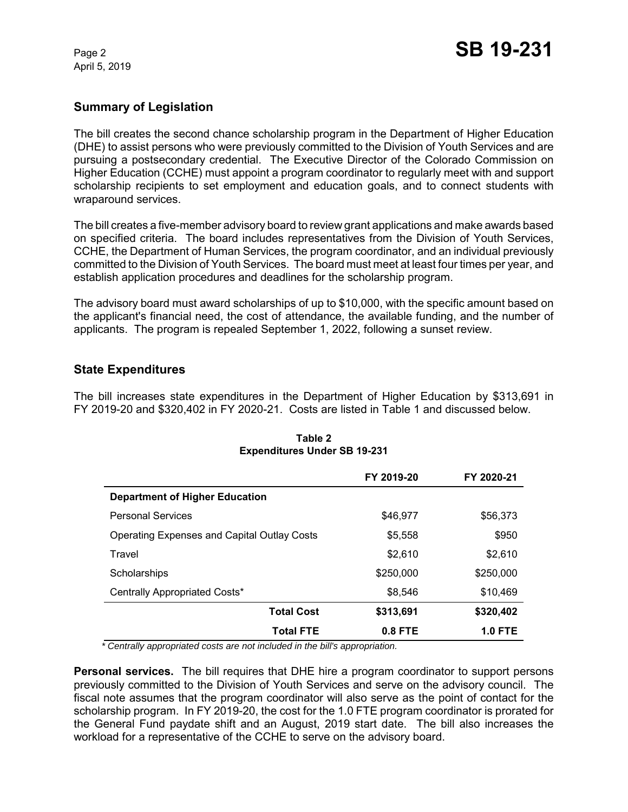April 5, 2019

## **Summary of Legislation**

The bill creates the second chance scholarship program in the Department of Higher Education (DHE) to assist persons who were previously committed to the Division of Youth Services and are pursuing a postsecondary credential. The Executive Director of the Colorado Commission on Higher Education (CCHE) must appoint a program coordinator to regularly meet with and support scholarship recipients to set employment and education goals, and to connect students with wraparound services.

The bill creates a five-member advisory board to review grant applications and make awards based on specified criteria. The board includes representatives from the Division of Youth Services, CCHE, the Department of Human Services, the program coordinator, and an individual previously committed to the Division of Youth Services. The board must meet at least four times per year, and establish application procedures and deadlines for the scholarship program.

The advisory board must award scholarships of up to \$10,000, with the specific amount based on the applicant's financial need, the cost of attendance, the available funding, and the number of applicants. The program is repealed September 1, 2022, following a sunset review.

### **State Expenditures**

The bill increases state expenditures in the Department of Higher Education by \$313,691 in FY 2019-20 and \$320,402 in FY 2020-21. Costs are listed in Table 1 and discussed below.

|                                                    | FY 2019-20 | FY 2020-21     |
|----------------------------------------------------|------------|----------------|
| <b>Department of Higher Education</b>              |            |                |
| <b>Personal Services</b>                           | \$46,977   | \$56,373       |
| <b>Operating Expenses and Capital Outlay Costs</b> | \$5,558    | \$950          |
| Travel                                             | \$2,610    | \$2,610        |
| Scholarships                                       | \$250,000  | \$250,000      |
| Centrally Appropriated Costs*                      | \$8,546    | \$10,469       |
| <b>Total Cost</b>                                  | \$313,691  | \$320,402      |
| <b>Total FTE</b>                                   | $0.8$ FTE  | <b>1.0 FTE</b> |

#### **Table 2 Expenditures Under SB 19-231**

 *\* Centrally appropriated costs are not included in the bill's appropriation.*

**Personal services.** The bill requires that DHE hire a program coordinator to support persons previously committed to the Division of Youth Services and serve on the advisory council. The fiscal note assumes that the program coordinator will also serve as the point of contact for the scholarship program. In FY 2019-20, the cost for the 1.0 FTE program coordinator is prorated for the General Fund paydate shift and an August, 2019 start date. The bill also increases the workload for a representative of the CCHE to serve on the advisory board.